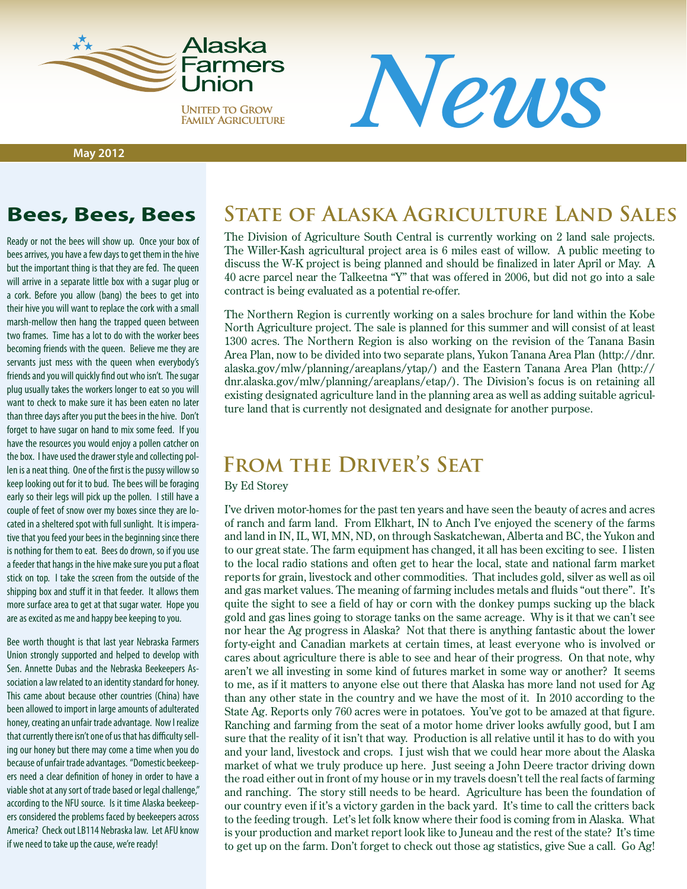

**UNITED TO GROW FAMILY AGRICULTURE** 

**May 2012**

Ready or not the bees will show up. Once your box of bees arrives, you have a few days to get them in the hive but the important thing is that they are fed. The queen will arrive in a separate little box with a sugar plug or a cork. Before you allow (bang) the bees to get into their hive you will want to replace the cork with a small marsh-mellow then hang the trapped queen between two frames. Time has a lot to do with the worker bees becoming friends with the queen. Believe me they are servants just mess with the queen when everybody's friends and you will quickly find out who isn't. The sugar plug usually takes the workers longer to eat so you will want to check to make sure it has been eaten no later than three days after you put the bees in the hive. Don't forget to have sugar on hand to mix some feed. If you have the resources you would enjoy a pollen catcher on the box. I have used the drawer style and collecting pollen is a neat thing. One of the first is the pussy willow so keep looking out for it to bud. The bees will be foraging early so their legs will pick up the pollen. I still have a couple of feet of snow over my boxes since they are located in a sheltered spot with full sunlight. It is imperative that you feed your bees in the beginning since there is nothing for them to eat. Bees do drown, so if you use a feeder that hangs in the hive make sure you put a float stick on top. I take the screen from the outside of the shipping box and stuff it in that feeder. It allows them more surface area to get at that sugar water. Hope you are as excited as me and happy bee keeping to you.

Bee worth thought is that last year Nebraska Farmers Union strongly supported and helped to develop with Sen. Annette Dubas and the Nebraska Beekeepers Association a law related to an identity standard for honey. This came about because other countries (China) have been allowed to import in large amounts of adulterated honey, creating an unfair trade advantage. Now I realize that currently there isn't one of us that has difficulty selling our honey but there may come a time when you do because of unfair trade advantages. "Domestic beekeepers need a clear definition of honey in order to have a viable shot at any sort of trade based or legal challenge," according to the NFU source. Is it time Alaska beekeepers considered the problems faced by beekeepers across America? Check out LB114 Nebraska law. Let AFU know

if we need to take up the cause, we're ready!

### **Bees, Bees, Bees State of Alaska Agriculture Land Sales**

The Division of Agriculture South Central is currently working on 2 land sale projects. The Willer-Kash agricultural project area is 6 miles east of willow. A public meeting to discuss the W-K project is being planned and should be finalized in later April or May. A 40 acre parcel near the Talkeetna "Y" that was offered in 2006, but did not go into a sale contract is being evaluated as a potential re-offer.

*News*

The Northern Region is currently working on a sales brochure for land within the Kobe North Agriculture project. The sale is planned for this summer and will consist of at least 1300 acres. The Northern Region is also working on the revision of the Tanana Basin Area Plan, now to be divided into two separate plans, Yukon Tanana Area Plan (http://dnr. alaska.gov/mlw/planning/areaplans/ytap/) and the Eastern Tanana Area Plan (http:// dnr.alaska.gov/mlw/planning/areaplans/etap/). The Division's focus is on retaining all existing designated agriculture land in the planning area as well as adding suitable agriculture land that is currently not designated and designate for another purpose.

### **From the Driver's Seat**

#### By Ed Storey

I've driven motor-homes for the past ten years and have seen the beauty of acres and acres of ranch and farm land. From Elkhart, IN to Anch I've enjoyed the scenery of the farms and land in IN, IL, WI, MN, ND, on through Saskatchewan, Alberta and BC, the Yukon and to our great state. The farm equipment has changed, it all has been exciting to see. I listen to the local radio stations and often get to hear the local, state and national farm market reports for grain, livestock and other commodities. That includes gold, silver as well as oil and gas market values. The meaning of farming includes metals and fluids "out there". It's quite the sight to see a field of hay or corn with the donkey pumps sucking up the black gold and gas lines going to storage tanks on the same acreage. Why is it that we can't see nor hear the Ag progress in Alaska? Not that there is anything fantastic about the lower forty-eight and Canadian markets at certain times, at least everyone who is involved or cares about agriculture there is able to see and hear of their progress. On that note, why aren't we all investing in some kind of futures market in some way or another? It seems to me, as if it matters to anyone else out there that Alaska has more land not used for Ag than any other state in the country and we have the most of it. In 2010 according to the State Ag. Reports only 760 acres were in potatoes. You've got to be amazed at that figure. Ranching and farming from the seat of a motor home driver looks awfully good, but I am sure that the reality of it isn't that way. Production is all relative until it has to do with you and your land, livestock and crops. I just wish that we could hear more about the Alaska market of what we truly produce up here. Just seeing a John Deere tractor driving down the road either out in front of my house or in my travels doesn't tell the real facts of farming and ranching. The story still needs to be heard. Agriculture has been the foundation of our country even if it's a victory garden in the back yard. It's time to call the critters back to the feeding trough. Let's let folk know where their food is coming from in Alaska. What is your production and market report look like to Juneau and the rest of the state? It's time to get up on the farm. Don't forget to check out those ag statistics, give Sue a call. Go Ag!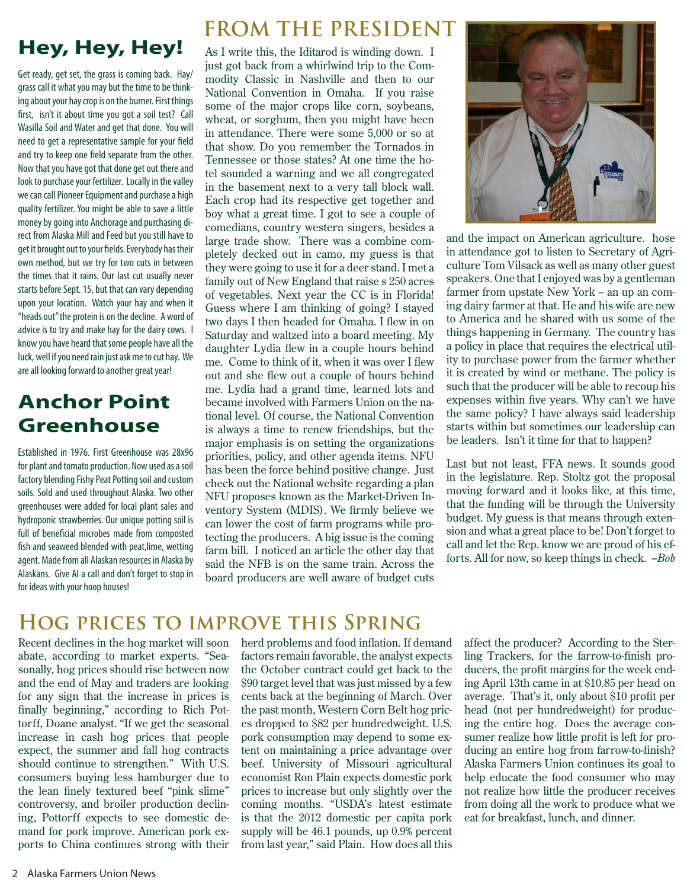# **Hey, Hey, Hey!**

Get ready, get set, the grass is coming back. Hay/ grass call it what you may but the time to be thinking about your hay crop is on the burner. First things first, isn't it about time you got a soil test? Call Wasilla Soil and Water and get that done. You will need to get a representative sample for your field and try to keep one field separate from the other. Now that you have got that done get out there and look to purchase your fertilizer. Locally in the valley we can call Pioneer Equipment and purchase a high quality fertilizer. You might be able to save a little money by going into Anchorage and purchasing direct from Alaska Mill and Feed but you still have to get it brought out to your fields. Everybody has their own method, but we try for two cuts in between the times that it rains. Our last cut usually never starts before Sept. 15, but that can vary depending upon your location. Watch your hay and when it "heads out" the protein is on the decline. A word of advice is to try and make hay for the dairy cows. I know you have heard that some people have all the luck, well if you need rain just ask me to cut hay. We are all looking forward to another great year!

### **Anchor Point Greenhouse**

Established in 1976. First Greenhouse was 28x96 for plant and tomato production. Now used as a soil factory blending Fishy Peat Potting soil and custom soils. Sold and used throughout Alaska. Two other greenhouses were added for local plant sales and hydroponic strawberries. Our unique potting soil is full of beneficial microbes made from composted fish and seaweed blended with peat,lime, wetting agent. Made from all Alaskan resources in Alaska by Alaskans. Give Al a call and don't forget to stop in for ideas with your hoop houses!

## **FROM THE PRESIDENT**

As I write this, the Iditarod is winding down. I just got back from a whirlwind trip to the Commodity Classic in Nashville and then to our National Convention in Omaha. If you raise some of the major crops like corn, soybeans, wheat, or sorghum, then you might have been in attendance. There were some 5,000 or so at that show. Do you remember the Tornados in Tennessee or those states? At one time the hotel sounded a warning and we all congregated in the basement next to a very tall block wall. Each crop had its respective get together and boy what a great time. I got to see a couple of comedians, country western singers, besides a large trade show. There was a combine completely decked out in camo, my guess is that they were going to use it for a deer stand. I met a family out of New England that raise s 250 acres of vegetables. Next year the CC is in Florida! Guess where I am thinking of going? I stayed two days I then headed for Omaha. I flew in on Saturday and waltzed into a board meeting. My daughter Lydia flew in a couple hours behind me. Come to think of it, when it was over I flew out and she flew out a couple of hours behind me. Lydia had a grand time, learned lots and became involved with Farmers Union on the national level. Of course, the National Convention is always a time to renew friendships, but the major emphasis is on setting the organizations priorities, policy, and other agenda items. NFU has been the force behind positive change. Just check out the National website regarding a plan NFU proposes known as the Market-Driven Inventory System (MDIS). We firmly believe we can lower the cost of farm programs while protecting the producers. A big issue is the coming farm bill. I noticed an article the other day that said the NFB is on the same train. Across the board producers are well aware of budget cuts



and the impact on American agriculture. hose in attendance got to listen to Secretary of Agriculture Tom Vilsack as well as many other guest speakers. One that I enjoyed was by a gentleman farmer from upstate New York – an up an coming dairy farmer at that. He and his wife are new to America and he shared with us some of the things happening in Germany. The country has a policy in place that requires the electrical utility to purchase power from the farmer whether it is created by wind or methane. The policy is such that the producer will be able to recoup his expenses within five years. Why can't we have the same policy? I have always said leadership starts within but sometimes our leadership can be leaders. Isn't it time for that to happen?

Last but not least, FFA news. It sounds good in the legislature. Rep. Stoltz got the proposal moving forward and it looks like, at this time, that the funding will be through the University budget. My guess is that means through extension and what a great place to be! Don't forget to call and let the Rep. know we are proud of his efforts. All for now, so keep things in check. *--Bob*

### **Hog prices to improve this Spring**

Recent declines in the hog market will soon abate, according to market experts. "Seasonally, hog prices should rise between now and the end of May and traders are looking for any sign that the increase in prices is finally beginning," according to Rich Pottorff, Doane analyst. "If we get the seasonal increase in cash hog prices that people expect, the summer and fall hog contracts should continue to strengthen." With U.S. consumers buying less hamburger due to the lean finely textured beef "pink slime" controversy, and broiler production declining, Pottorff expects to see domestic demand for pork improve. American pork exports to China continues strong with their

herd problems and food inflation. If demand factors remain favorable, the analyst expects the October contract could get back to the \$90 target level that was just missed by a few cents back at the beginning of March. Over the past month, Western Corn Belt hog prices dropped to \$82 per hundredweight. U.S. pork consumption may depend to some extent on maintaining a price advantage over beef. University of Missouri agricultural economist Ron Plain expects domestic pork prices to increase but only slightly over the coming months. "USDA's latest estimate is that the 2012 domestic per capita pork supply will be 46.1 pounds, up 0.9% percent from last year," said Plain. How does all this

affect the producer? According to the Sterling Trackers, for the farrow-to-finish producers, the profit margins for the week ending April 13th came in at \$10.85 per head on average. That's it, only about \$10 profit per head (not per hundredweight) for producing the entire hog. Does the average consumer realize how little profit is left for producing an entire hog from farrow-to-finish? Alaska Farmers Union continues its goal to help educate the food consumer who may not realize how little the producer receives from doing all the work to produce what we eat for breakfast, lunch, and dinner.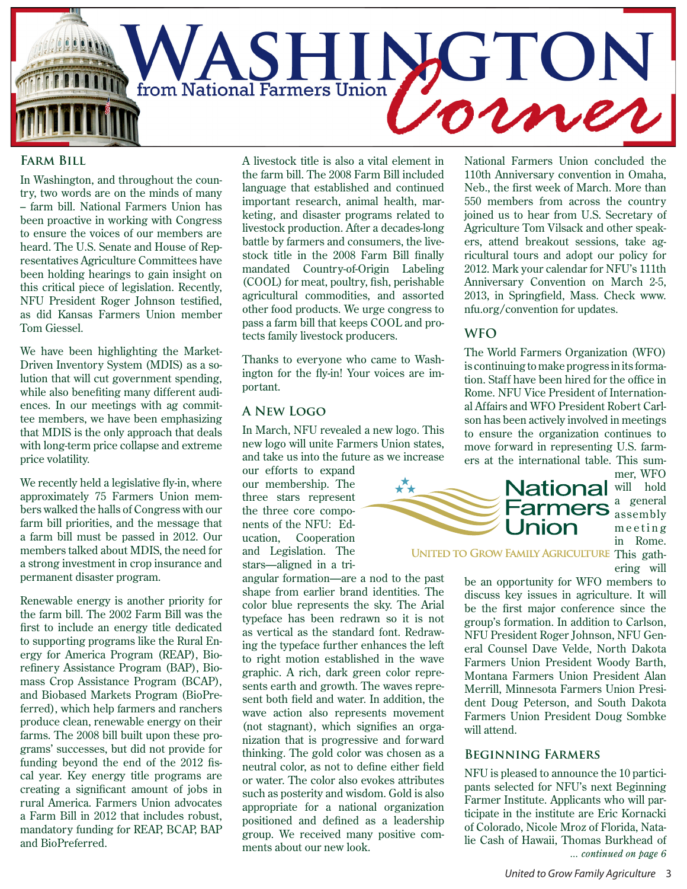

#### **Farm Bill**

In Washington, and throughout the country, two words are on the minds of many – farm bill. National Farmers Union has been proactive in working with Congress to ensure the voices of our members are heard. The U.S. Senate and House of Representatives Agriculture Committees have been holding hearings to gain insight on this critical piece of legislation. Recently, NFU President Roger Johnson testified, as did Kansas Farmers Union member Tom Giessel.

We have been highlighting the Market-Driven Inventory System (MDIS) as a solution that will cut government spending, while also benefiting many different audiences. In our meetings with ag committee members, we have been emphasizing that MDIS is the only approach that deals with long-term price collapse and extreme price volatility.

We recently held a legislative fly-in, where approximately 75 Farmers Union members walked the halls of Congress with our farm bill priorities, and the message that a farm bill must be passed in 2012. Our members talked about MDIS, the need for a strong investment in crop insurance and permanent disaster program.

Renewable energy is another priority for the farm bill. The 2002 Farm Bill was the first to include an energy title dedicated to supporting programs like the Rural Energy for America Program (REAP), Biorefinery Assistance Program (BAP), Biomass Crop Assistance Program (BCAP), and Biobased Markets Program (BioPreferred), which help farmers and ranchers produce clean, renewable energy on their farms. The 2008 bill built upon these programs' successes, but did not provide for funding beyond the end of the 2012 fiscal year. Key energy title programs are creating a significant amount of jobs in rural America. Farmers Union advocates a Farm Bill in 2012 that includes robust, mandatory funding for REAP, BCAP, BAP and BioPreferred.

A livestock title is also a vital element in the farm bill. The 2008 Farm Bill included language that established and continued important research, animal health, marketing, and disaster programs related to livestock production. After a decades-long battle by farmers and consumers, the livestock title in the 2008 Farm Bill finally mandated Country-of-Origin Labeling (COOL) for meat, poultry, fish, perishable agricultural commodities, and assorted other food products. We urge congress to pass a farm bill that keeps COOL and protects family livestock producers.

Thanks to everyone who came to Washington for the fly-in! Your voices are important.

#### **A New Logo**

In March, NFU revealed a new logo. This new logo will unite Farmers Union states, and take us into the future as we increase

our efforts to expand our membership. The three stars represent the three core components of the NFU: Education, Cooperation and Legislation. The stars—aligned in a tri-

angular formation—are a nod to the past shape from earlier brand identities. The color blue represents the sky. The Arial typeface has been redrawn so it is not as vertical as the standard font. Redrawing the typeface further enhances the left to right motion established in the wave graphic. A rich, dark green color represents earth and growth. The waves represent both field and water. In addition, the wave action also represents movement (not stagnant), which signifies an organization that is progressive and forward thinking. The gold color was chosen as a neutral color, as not to define either field or water. The color also evokes attributes such as posterity and wisdom. Gold is also appropriate for a national organization positioned and defined as a leadership group. We received many positive comments about our new look.

National Farmers Union concluded the 110th Anniversary convention in Omaha, Neb., the first week of March. More than 550 members from across the country joined us to hear from U.S. Secretary of Agriculture Tom Vilsack and other speakers, attend breakout sessions, take agricultural tours and adopt our policy for 2012. Mark your calendar for NFU's 111th Anniversary Convention on March 2-5, 2013, in Springfield, Mass. Check www. nfu.org/convention for updates.

#### **WFO**

The World Farmers Organization (WFO) is continuing to make progress in its formation. Staff have been hired for the office in Rome. NFU Vice President of International Affairs and WFO President Robert Carlson has been actively involved in meetings to ensure the organization continues to move forward in representing U.S. farmers at the international table. This sum-



a general assembly  $m$  e e t i n g in Rome.

mer, WFO

UNITED TO GROW FAMILY AGRICULTURE This gath-

ering will

be an opportunity for WFO members to discuss key issues in agriculture. It will be the first major conference since the group's formation. In addition to Carlson, NFU President Roger Johnson, NFU General Counsel Dave Velde, North Dakota Farmers Union President Woody Barth, Montana Farmers Union President Alan Merrill, Minnesota Farmers Union President Doug Peterson, and South Dakota Farmers Union President Doug Sombke will attend.

#### **Beginning Farmers**

NFU is pleased to announce the 10 participants selected for NFU's next Beginning Farmer Institute. Applicants who will participate in the institute are Eric Kornacki of Colorado, Nicole Mroz of Florida, Natalie Cash of Hawaii, Thomas Burkhead of *... continued on page 6*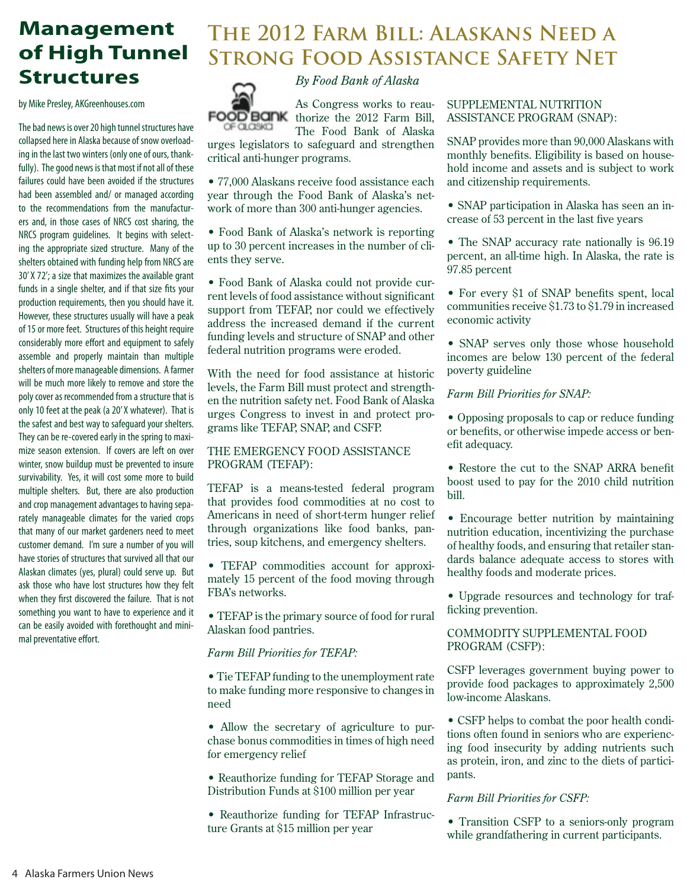## **Management of High Tunnel Structures**

by Mike Presley, AKGreenhouses.com

The bad news is over 20 high tunnel structures have collapsed here in Alaska because of snow overloading in the last two winters (only one of ours, thankfully). The good news is that most if not all of these failures could have been avoided if the structures had been assembled and/ or managed according to the recommendations from the manufacturers and, in those cases of NRCS cost sharing, the NRCS program guidelines. It begins with selecting the appropriate sized structure. Many of the shelters obtained with funding help from NRCS are 30' X 72'; a size that maximizes the available grant funds in a single shelter, and if that size fits your production requirements, then you should have it. However, these structures usually will have a peak of 15 or more feet. Structures of this height require considerably more effort and equipment to safely assemble and properly maintain than multiple shelters of more manageable dimensions. A farmer will be much more likely to remove and store the poly cover as recommended from a structure that is only 10 feet at the peak (a 20' X whatever). That is the safest and best way to safeguard your shelters. They can be re-covered early in the spring to maximize season extension. If covers are left on over winter, snow buildup must be prevented to insure survivability. Yes, it will cost some more to build multiple shelters. But, there are also production and crop management advantages to having separately manageable climates for the varied crops that many of our market gardeners need to meet customer demand. I'm sure a number of you will have stories of structures that survived all that our Alaskan climates (yes, plural) could serve up. But ask those who have lost structures how they felt when they first discovered the failure. That is not something you want to have to experience and it can be easily avoided with forethought and minimal preventative effort.

### **The 2012 Farm Bill: Alaskans Need a Strong Food Assistance Safety Net**



As Congress works to reau-FOOD BANK thorize the 2012 Farm Bill,

*By Food Bank of Alaska*

The Food Bank of Alaska urges legislators to safeguard and strengthen critical anti-hunger programs.

• 77,000 Alaskans receive food assistance each year through the Food Bank of Alaska's network of more than 300 anti-hunger agencies.

• Food Bank of Alaska's network is reporting up to 30 percent increases in the number of clients they serve.

• Food Bank of Alaska could not provide current levels of food assistance without significant support from TEFAP, nor could we effectively address the increased demand if the current funding levels and structure of SNAP and other federal nutrition programs were eroded.

With the need for food assistance at historic levels, the Farm Bill must protect and strengthen the nutrition safety net. Food Bank of Alaska urges Congress to invest in and protect programs like TEFAP, SNAP, and CSFP.

#### THE EMERGENCY FOOD ASSISTANCE PROGRAM (TEFAP):

TEFAP is a means-tested federal program that provides food commodities at no cost to Americans in need of short-term hunger relief through organizations like food banks, pantries, soup kitchens, and emergency shelters.

• TEFAP commodities account for approximately 15 percent of the food moving through FBA's networks.

• TEFAP is the primary source of food for rural Alaskan food pantries.

#### *Farm Bill Priorities for TEFAP:*

• Tie TEFAP funding to the unemployment rate to make funding more responsive to changes in need

• Allow the secretary of agriculture to purchase bonus commodities in times of high need for emergency relief

• Reauthorize funding for TEFAP Storage and Distribution Funds at \$100 million per year

• Reauthorize funding for TEFAP Infrastructure Grants at \$15 million per year

#### SUPPLEMENTAL NUTRITION ASSISTANCE PROGRAM (SNAP):

SNAP provides more than 90,000 Alaskans with monthly benefits. Eligibility is based on household income and assets and is subject to work and citizenship requirements.

• SNAP participation in Alaska has seen an increase of 53 percent in the last five years

• The SNAP accuracy rate nationally is 96.19 percent, an all-time high. In Alaska, the rate is 97.85 percent

• For every \$1 of SNAP benefits spent, local communities receive \$1.73 to \$1.79 in increased economic activity

• SNAP serves only those whose household incomes are below 130 percent of the federal poverty guideline

*Farm Bill Priorities for SNAP:*

• Opposing proposals to cap or reduce funding or benefits, or otherwise impede access or benefit adequacy.

• Restore the cut to the SNAP ARRA benefit boost used to pay for the 2010 child nutrition bill.

• Encourage better nutrition by maintaining nutrition education, incentivizing the purchase of healthy foods, and ensuring that retailer standards balance adequate access to stores with healthy foods and moderate prices.

• Upgrade resources and technology for trafficking prevention.

COMMODITY SUPPLEMENTAL FOOD PROGRAM (CSFP):

CSFP leverages government buying power to provide food packages to approximately 2,500 low-income Alaskans.

• CSFP helps to combat the poor health conditions often found in seniors who are experiencing food insecurity by adding nutrients such as protein, iron, and zinc to the diets of participants.

#### *Farm Bill Priorities for CSFP:*

• Transition CSFP to a seniors-only program while grandfathering in current participants.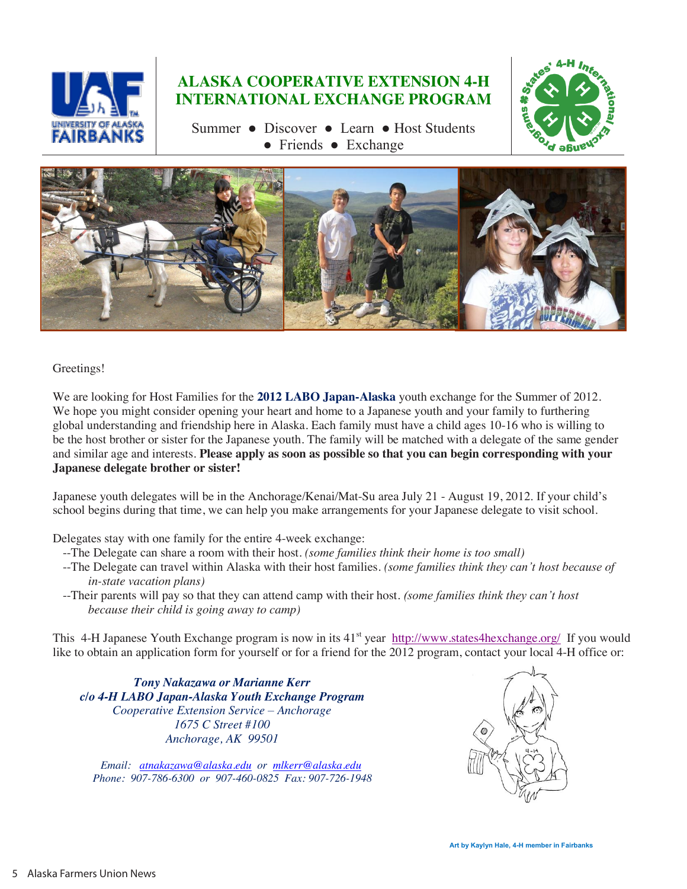

### **ALASKA COOPERATIVE EXTENSION 4-H INTERNATIONAL EXCHANGE PROGRAM**

Summer ● Discover ● Learn ● Host Students ● Friends ● Exchange





Greetings!

We are looking for Host Families for the **2012 LABO Japan-Alaska** youth exchange for the Summer of 2012. We hope you might consider opening your heart and home to a Japanese youth and your family to furthering global understanding and friendship here in Alaska. Each family must have a child ages 10-16 who is willing to be the host brother or sister for the Japanese youth. The family will be matched with a delegate of the same gender and similar age and interests. **Please apply as soon as possible so that you can begin corresponding with your Japanese delegate brother or sister!**

Japanese youth delegates will be in the Anchorage/Kenai/Mat-Su area July 21 - August 19, 2012. If your child's school begins during that time, we can help you make arrangements for your Japanese delegate to visit school.

Delegates stay with one family for the entire 4-week exchange:

- --The Delegate can share a room with their host. *(some families think their home is too small)*
- --The Delegate can travel within Alaska with their host families. *(some families think they can't host because of in-state vacation plans)*
- --Their parents will pay so that they can attend camp with their host. *(some families think they can't host because their child is going away to camp)*

This 4-H Japanese Youth Exchange program is now in its 41<sup>st</sup> year http://www.states4hexchange.org/ If you would like to obtain an application form for yourself or for a friend for the 2012 program, contact your local 4-H office or:

*Tony Nakazawa or Marianne Kerr c/o 4-H LABO Japan-Alaska Youth Exchange Program Cooperative Extension Service – Anchorage 1675 C Street #100 Anchorage, AK 99501*

 *Email: atnakazawa@alaska.edu or mlkerr@alaska.edu Phone: 907-786-6300 or 907-460-0825 Fax: 907-726-1948*